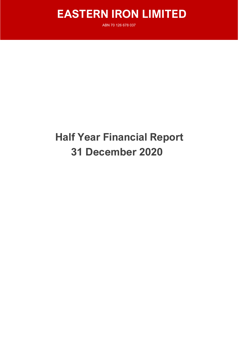# **EASTERN IRON LIMITED**

ABN 70 126 678 037

# **Half Year Financial Report 31 December 2020**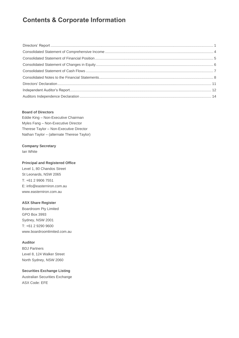## **Contents & Corporate Information**

#### **Board of Directors**

Eddie King – Non-Executive Chairman Myles Fang – Non-Executive Director Therese Taylor – Non-Executive Director Nathan Taylor – (alternate Therese Taylor)

#### **Company Secretary**

Ian White

#### **Principal and Registered Office**

Level 1, 80 Chandos Street St Leonards, NSW 2065 T: +61 2 9906 7551 E: info@easterniron.com.au www.easterniron.com.au

#### **ASX Share Register**

Boardroom Pty Limited GPO Box 3993 Sydney, NSW 2001 T: +61 2 9290 9600 www.boardroomlimited.com.au

#### **Auditor**

BDJ Partners Level 8, 124 Walker Street North Sydney, NSW 2060

#### **Securities Exchange Listing**

Australian Securities Exchange ASX Code: EFE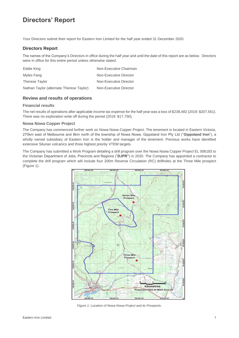# **Directors' Report**

Your Directors submit their report for Eastern Iron Limited for the half year ended 31 December 2020.

#### **Directors Report**

The names of the Company's Directors in office during the half year and until the date of this report are as below. Directors were in office for this entire period unless otherwise stated.

| Eddie King                               | Non-Executive Chairman |
|------------------------------------------|------------------------|
| Myles Fang                               | Non-Executive Director |
| <b>Therese Taylor</b>                    | Non-Executive Director |
| Nathan Taylor (alternate Therese Taylor) | Non-Executive Director |

#### **Review and results of operations**

#### **Financial results**

The net results of operations after applicable income tax expense for the half year was a loss of \$238,482 (2019: \$207,561). There was no exploration write off during the period (2019: \$17,750).

#### **Nowa Nowa Copper Project**

The Company has commenced further work on Nowa Nowa Copper Project. The tenement is located in Eastern Victoria, 270km east of Melbourne and 8km north of the township of Nowa Nowa. Gippsland Iron Pty Ltd ("**Gippsland Iron**"), a wholly owned subsidiary of Eastern Iron is the holder and manager of the tenement. Previous works have identified extensive Silurian volcanics and three highest priority VTEM targets.

The Company has submitted a Work Program detailing a drill program over the Nowa Nowa Copper Project EL 006183 to the Victorian Department of Jobs, Precincts and Regions ("**DJPR"**) in 2020. The Company has appointed a contractor to complete the drill program which will include four 200m Reverse Circulation (RC) drillholes at the Three Mile prospect (Figure 1).



*Figure 1: Location of Nowa Nowa Project and its Prospects.*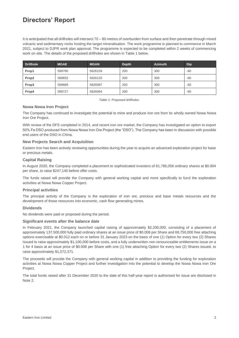## **Directors' Report**

It is anticipated that all drillholes will intersect 70 – 80 metres of overburden from surface and then penetrate through mixed volcanic and sedimentary rocks hosting the target mineralisation. The work programme is planned to commence in March 2021, subject to DJPR work plan approval. The programme is expected to be completed within 2 weeks of commencing work on site. The details of the proposed drillholes are shown in Table 1 below.

| <b>Drillhole</b>  | <b>MGAE</b> | <b>MGAN</b> | <b>Depth</b> | <b>Azimuth</b> | Dip   |
|-------------------|-------------|-------------|--------------|----------------|-------|
| Prop1             | 599790      | 5826159     | 200          | 300            | $-60$ |
| Prop <sub>2</sub> | 599832      | 5826133     | 200          | 300            | $-60$ |
| Prop3             | 599689      | 5826087     | 200          | 300            | $-60$ |
| Prop4             | 599727      | 5826064     | 200          | 300            | -60   |

*Table 1: Proposed drillholes.*

#### **Nowa Nowa Iron Project**

The Company has continued to investigate the potential to mine and produce iron ore from its wholly owned Nowa Nowa Iron Ore Project.

With review of the DFS completed in 2014, and recent iron ore market, the Company has investigated an option to export 50% Fe DSO produced from Nowa Nowa Iron Ore Project (the "DSO"). The Company has been in discussion with possible end users of the DSO in China.

#### **New Projects Search and Acquisition**

Eastern Iron has been actively reviewing opportunities during the year to acquire an advanced exploration project for base or precious metals.

#### **Capital Raising**

In August 2020, the Company completed a placement to sophisticated investors of 61,785,056 ordinary shares at \$0.004 per share, to raise \$247,140 before offer costs.

The funds raised will provide the Company with general working capital and more specifically to fund the exploration activities at Nowa Nowa Copper Project.

#### **Principal activities**

The principal activity of the Company is the exploration of iron ore, precious and base metals resources and the development of those resources into economic, cash flow generating mines.

#### **Dividends**

No dividends were paid or proposed during the period.

#### **Significant events after the balance date**

In February 2021, the Company launched capital raising of approximately \$2,200,000, consisting of a placement of approximately 137,500,000 fully paid ordinary shares at an issue price of \$0.008 per Share and 68,750,000 free attaching options exercisable at \$0.012 each on or before 31 January 2023 on the basis of one (1) Option for every two (2) Shares issued to raise approximately \$1,100,000 before costs, and a fully underwritten non-renounceable entitlements issue on a 1 for 4 basis at an issue price of \$0.008 per Share with one (1) free attaching Option for every two (2) Shares issued, to raise approximately \$1,072,371.

The proceeds will provide the Company with general working capital in addition to providing the funding for exploration activities at Nowa Nowa Copper Project and further investigation into the potential to develop the Nowa Nowa Iron Ore Project.

The total funds raised after 31 December 2020 to the date of this half-year report is authorised for issue are disclosed in Note 2.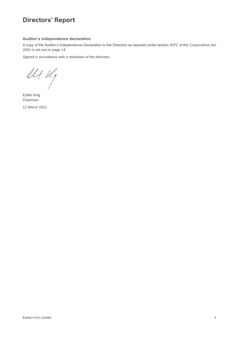# **Directors' Report**

#### **Auditor's independence declaration**

A copy of the Auditor's Independence Declaration to the Directors as required under section 307C of the *Corporations Act 2001* is set out on page 14.

Signed in accordance with a resolution of the directors.

 $ell$ 

Eddie King Chairman 12 March 2021

Eastern Iron Limited 3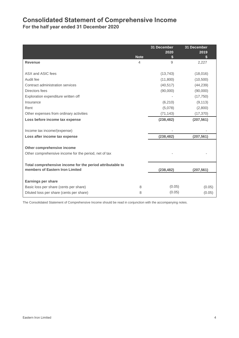### **Consolidated Statement of Comprehensive Income**

**For the half year ended 31 December 2020**

|                                                           |                | 31 December | 31 December |
|-----------------------------------------------------------|----------------|-------------|-------------|
|                                                           | <b>Note</b>    | 2020        | 2019        |
| <b>Revenue</b>                                            | $\overline{4}$ | 9           | 2,227       |
|                                                           |                |             |             |
| ASX and ASIC fees                                         |                | (13, 743)   | (18,016)    |
| Audit fee                                                 |                | (11,800)    | (10, 500)   |
| Contract administration services                          |                | (40, 517)   | (44, 239)   |
| Directors fees                                            |                | (90,000)    | (90,000)    |
| Exploration expenditure written off                       |                |             | (17,750)    |
| Insurance                                                 |                | (6, 210)    | (9, 113)    |
| Rent                                                      |                | (5,078)     | (2,800)     |
| Other expenses from ordinary activities                   |                | (71, 143)   | (17, 370)   |
| Loss before income tax expense                            |                | (238, 482)  | (207, 561)  |
|                                                           |                |             |             |
| Income tax income/(expense)                               |                |             |             |
| Loss after income tax expense                             |                | (238, 482)  | (207, 561)  |
| Other comprehensive income                                |                |             |             |
|                                                           |                |             |             |
| Other comprehensive income for the period, net of tax     |                |             |             |
| Total comprehensive income for the period attributable to |                |             |             |
| members of Eastern Iron Limited                           |                | (238, 482)  | (207, 561)  |
|                                                           |                |             |             |
| <b>Earnings per share</b>                                 |                |             |             |
| Basic loss per share (cents per share)                    | 8              | (0.05)      | (0.05)      |
| Diluted loss per share (cents per share)                  | 8              | (0.05)      | (0.05)      |

The Consolidated Statement of Comprehensive Income should be read in conjunction with the accompanying notes.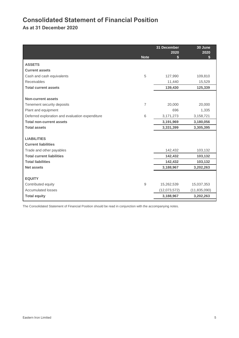# **Consolidated Statement of Financial Position**

**As at 31 December 2020**

|                                                 |                | 31 December<br>2020 | 30 June<br>2020 |
|-------------------------------------------------|----------------|---------------------|-----------------|
|                                                 | <b>Note</b>    | \$                  | \$              |
| <b>ASSETS</b>                                   |                |                     |                 |
| <b>Current assets</b>                           |                |                     |                 |
| Cash and cash equivalents                       | 5              | 127,990             | 109,810         |
| <b>Receivables</b>                              |                | 11,440              | 15,529          |
| <b>Total current assets</b>                     |                | 139,430             | 125,339         |
|                                                 |                |                     |                 |
| Non-current assets                              |                |                     |                 |
| Tenement security deposits                      | $\overline{7}$ | 20,000              | 20,000          |
| Plant and equipment                             |                | 696                 | 1,335           |
| Deferred exploration and evaluation expenditure | 6              | 3,171,273           | 3,158,721       |
| <b>Total non-current assets</b>                 |                | 3,191,969           | 3,180,056       |
| <b>Total assets</b>                             |                | 3,331,399           | 3,305,395       |
|                                                 |                |                     |                 |
| <b>LIABILITIES</b>                              |                |                     |                 |
| <b>Current liabilities</b>                      |                |                     |                 |
| Trade and other payables                        |                | 142,432             | 103,132         |
| <b>Total current liabilities</b>                |                | 142,432             | 103,132         |
| <b>Total liabilities</b>                        |                | 142,432             | 103,132         |
| <b>Net assets</b>                               |                | 3,188,967           | 3,202,263       |
|                                                 |                |                     |                 |
| <b>EQUITY</b>                                   |                |                     |                 |
| Contributed equity                              | 9              | 15,262,539          | 15,037,353      |
| <b>Accumulated losses</b>                       |                | (12,073,572)        | (11, 835, 090)  |
| <b>Total equity</b>                             |                | 3,188,967           | 3,202,263       |

The Consolidated Statement of Financial Position should be read in conjunction with the accompanying notes.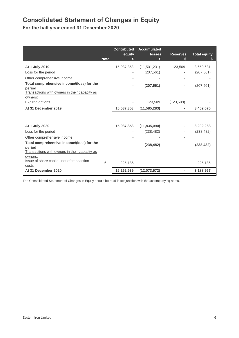# **Consolidated Statement of Changes in Equity**

**For the half year ended 31 December 2020**

|                                                                                                                                                                        | <b>Note</b> | <b>Contributed</b><br>equity<br>\$ | <b>Accumulated</b><br><b>losses</b><br>\$ | <b>Reserves</b> | <b>Total equity</b>     |
|------------------------------------------------------------------------------------------------------------------------------------------------------------------------|-------------|------------------------------------|-------------------------------------------|-----------------|-------------------------|
| At 1 July 2019<br>Loss for the period<br>Other comprehensive income                                                                                                    |             | 15,037,353                         | (11,501,231)<br>(207, 561)                | 123,509         | 3,659,631<br>(207, 561) |
| Total comprehensive income/(loss) for the<br>period<br>Transactions with owners in their capacity as<br>owners:                                                        |             |                                    | (207, 561)                                |                 | (207, 561)              |
| Expired options<br>At 31 December 2019                                                                                                                                 |             | 15,037,353                         | 123,509<br>(11, 585, 283)                 | (123, 509)<br>٠ | 3,452,070               |
| At 1 July 2020<br>Loss for the period<br>Other comprehensive income                                                                                                    |             | 15,037,353                         | (11, 835, 090)<br>(238, 482)              |                 | 3,202,263<br>(238, 482) |
| Total comprehensive income/(loss) for the<br>period<br>Transactions with owners in their capacity as<br>owners:<br>Issue of share capital, net of transaction<br>costs | 6           | 225,186                            | (238, 482)                                |                 | (238, 482)<br>225,186   |
| At 31 December 2020                                                                                                                                                    |             | 15,262,539                         | (12,073,572)                              | $\blacksquare$  | 3,188,967               |

The Consolidated Statement of Changes in Equity should be read in conjunction with the accompanying notes.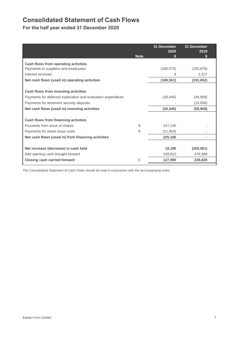# **Consolidated Statement of Cash Flows**

**For the half year ended 31 December 2020**

|                                                              | 31 December<br>2020 | 31 December<br>2019 |
|--------------------------------------------------------------|---------------------|---------------------|
|                                                              | <b>Note</b>         |                     |
| Cash flows from operating activities                         |                     |                     |
| Payments to suppliers and employees                          | (180, 570)          | (193, 879)          |
| Interest received                                            | 9                   | 2,227               |
| Net cash flows (used in) operating activities                | (180, 561)          | (191, 652)          |
|                                                              |                     |                     |
| Cash flows from investing activities                         |                     |                     |
| Payments for deferred exploration and evaluation expenditure | (26, 445)           | (48,909)            |
| Payments for tenement security deposits                      |                     | (10,000)            |
| Net cash flows (used in) investing activities                | (26, 445)           | (58, 909)           |
|                                                              |                     |                     |
| Cash flows from financing activities                         |                     |                     |
| Proceeds from issue of shares                                | 9<br>247,140        |                     |
| Payments for share issue costs                               | 9<br>(21, 954)      |                     |
| Net cash flows (used in) from financing activities           | 225,186             |                     |
|                                                              |                     |                     |
| Net increase (decrease) in cash held                         | 18,180              | (250, 561)          |
| Add opening cash brought forward                             | 109,810             | 479,389             |
| <b>Closing cash carried forward</b>                          | 127,990<br>5        | 228,828             |

The Consolidated Statement of Cash Flows should be read in conjunction with the accompanying notes.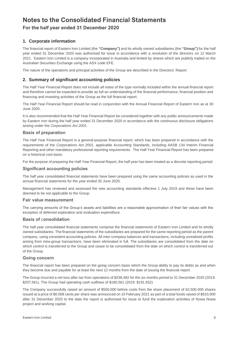### **Notes to the Consolidated Financial Statements**

### **For the half year ended 31 December 2020**

#### **1. Corporate information**

The financial report of Eastern Iron Limited (the **"Company")** and its wholly owned subsidiaries (the **"Group")** for the half year ended 31 December 2020 was authorised for issue in accordance with a resolution of the directors on 12 March 2021. Eastern Iron Limited is a company incorporated in Australia and limited by shares which are publicly traded on the Australian Securities Exchange using the ASX code EFE.

The nature of the operations and principal activities of the Group are described in the Directors' Report.

#### **2. Summary of significant accounting policies**

The Half Year Financial Report does not include all notes of the type normally included within the annual financial report and therefore cannot be expected to provide as full an understanding of the financial performance, financial position and financing and investing activities of the Group as the full financial report.

The Half Year Financial Report should be read in conjunction with the Annual Financial Report of Eastern Iron as at 30 June 2020.

It is also recommended that the Half Year Financial Report be considered together with any public announcements made by Eastern Iron during the half year ended 31 December 2020 in accordance with the continuous disclosure obligations arising under the *Corporations Act 2001*.

#### **Basis of preparation**

The Half Year Financial Report is a general-purpose financial report, which has been prepared in accordance with the requirements of the *Corporations Act 2001*, applicable Accounting Standards, including AASB 134 Interim Financial Reporting and other mandatory professional reporting requirements. The Half Year Financial Report has been prepared on a historical cost basis.

For the purpose of preparing the Half Year Financial Report, the half year has been treated as a discrete reporting period.

#### **Significant accounting policies**

The half year consolidated financial statements have been prepared using the same accounting policies as used in the annual financial statements for the year ended 30 June 2020.

Management has reviewed and assessed the new accounting standards effective 1 July 2019 and these have been deemed to be not applicable to the Group.

#### **Fair value measurement**

The carrying amounts of the Group's assets and liabilities are a reasonable approximation of their fair values with the exception of deferred exploration and evaluation expenditure.

#### **Basis of** c**onsolidation**

The half year consolidated financial statements comprise the financial statements of Eastern Iron Limited and its wholly owned subsidiaries. The financial statements of the subsidiaries are prepared for the same reporting period as the parent company, using consistent accounting policies. All inter-company balances and transactions, including unrealised profits arising from intra-group transactions, have been eliminated in full. The subsidiaries are consolidated from the date on which control is transferred to the Group and cease to be consolidated from the date on which control is transferred out of the Group.

#### **Going concern**

The financial report has been prepared on the going concern basis which the Group ability to pay its debts as and when they become due and payable for at least the next 12 months from the date of issuing the financial report.

The Group incurred a net loss after tax from operations of \$238,482 for the six months period to 31 December 2020 (2019: \$207,561). The Group had operating cash outflows of \$180,561 (2019: \$191,652)

The Company successfully raised an amount of \$500,000 before costs from the share placement of 62,500,000 shares issued at a price of \$0.008 cents per share was announced on 10 February 2021 as part of a total funds raised of \$810,000 after 31 December 2020 to the date the report is authorised for issue to fund the exploration activities of Nowa Nowa project and working capital.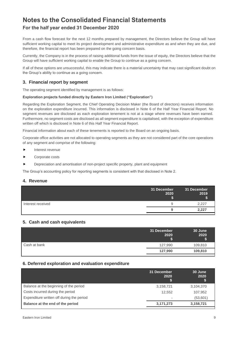## **Notes to the Consolidated Financial Statements**

### **For the half year ended 31 December 2020**

From a cash flow forecast for the next 12 months prepared by management, the Directors believe the Group will have sufficient working capital to meet its project development and administrative expenditure as and when they are due, and therefore, the financial report has been prepared on the going concern basis.

Currently, the Company is in the process of raising additional funds from the issue of equity, the Directors believe that the Group will have sufficient working capital to enable the Group to continue as a going concern.

If all of these options are unsuccessful, this may indicate there is a material uncertainty that may cast significant doubt on the Group's ability to continue as a going concern.

#### **3. Financial report by segment**

The operating segment identified by management is as follows:

#### **Exploration projects funded directly by Eastern Iron Limited ("Exploration")**

Regarding the Exploration Segment, the Chief Operating Decision Maker (the Board of directors) receives information on the exploration expenditure incurred. This information is disclosed in Note 6 of the Half Year Financial Report. No segment revenues are disclosed as each exploration tenement is not at a stage where revenues have been earned. Furthermore, no segment costs are disclosed as all segment expenditure is capitalised, with the exception of expenditure written off which is disclosed in Note 6 of this Half Year Financial Report.

Financial information about each of these tenements is reported to the Board on an ongoing basis.

Corporate office activities are not allocated to operating segments as they are not considered part of the core operations of any segment and comprise of the following:

- Interest revenue
- ▶ Corporate costs
- Depreciation and amortisation of non-project specific property, plant and equipment

The Group's accounting policy for reporting segments is consistent with that disclosed in Note 2.

#### **4. Revenue**

|                   | 31 December<br>2020 | 31 December<br>2019<br>Φ |
|-------------------|---------------------|--------------------------|
| Interest received | 9                   | 2,227                    |
|                   | g                   | 2,227                    |

#### **5. Cash and cash equivalents**

|              | 31 December<br>2020<br>m | 30 June<br>2020 |
|--------------|--------------------------|-----------------|
| Cash at bank | 127,990                  | 109,810         |
|              | 127,990                  | 109,810         |

#### **6. Deferred exploration and evaluation expenditure**

|                                           | 31 December<br>2020 | 30 June<br>2020 |
|-------------------------------------------|---------------------|-----------------|
| Balance at the beginning of the period    | 3,158,721           | 3,104,370       |
| Costs incurred during the period          | 12.552              | 107,952         |
| Expenditure written off during the period |                     | (53,601)        |
| Balance at the end of the period          | 3,171,273           | 3,158,721       |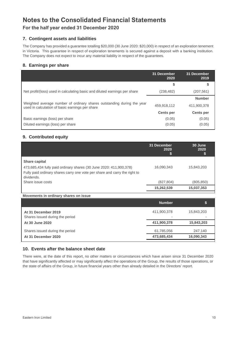## **Notes to the Consolidated Financial Statements**

### **For the half year ended 31 December 2020**

#### **7. Contingent assets and liabilities**

The Company has provided a guarantee totalling \$20,000 (30 June 2020: \$20,000) in respect of an exploration tenement in Victoria. This guarantee in respect of exploration tenements is secured against a deposit with a banking institution. The Company does not expect to incur any material liability in respect of the guarantees.

#### **8. Earnings per share**

|                                                                                                                           | 31 December<br>2020 | 31 December<br>2019 |
|---------------------------------------------------------------------------------------------------------------------------|---------------------|---------------------|
|                                                                                                                           | \$                  | \$                  |
| Net profit/(loss) used in calculating basic and diluted earnings per share                                                | (238, 482)          | (207,561)           |
|                                                                                                                           |                     | <b>Number</b>       |
| Weighted average number of ordinary shares outstanding during the year<br>used in calculation of basic earnings per share | 459,918,112         | 411,900,378         |
|                                                                                                                           | <b>Cents per</b>    | <b>Cents per</b>    |
| Basic earnings (loss) per share                                                                                           | (0.05)              | (0.05)              |
| Diluted earnings (loss) per share                                                                                         | (0.05)              | (0.05)              |

#### **9. Contributed equity**

|                                                                                                                                                                                        | 31 December<br>2020<br>5 | 30 June<br>2020<br>₽ |
|----------------------------------------------------------------------------------------------------------------------------------------------------------------------------------------|--------------------------|----------------------|
| <b>Share capital</b><br>473,685,434 fully paid ordinary shares (30 June 2020: 411,900,378)<br>Fully paid ordinary shares carry one vote per share and carry the right to<br>dividends. | 16,090,343               | 15,843,203           |
| Share issue costs                                                                                                                                                                      | (827, 804)               | (805, 850)           |
|                                                                                                                                                                                        | 15,262,539               | 15,037,353           |

|                                                        | <b>Number</b> |            |
|--------------------------------------------------------|---------------|------------|
| At 31 December 2019<br>Shares issued during the period | 411,900,378   | 15,843,203 |
| At 30 June 2020                                        | 411,900,378   | 15,843,203 |
| Shares issued during the period                        | 61,785,056    | 247,140    |
| At 31 December 2020                                    | 473,685,434   | 16,090,343 |
|                                                        |               |            |

#### **10. Events after the balance sheet date**

**Movements in ordinary shares on issue**

There were, at the date of this report, no other matters or circumstances which have arisen since 31 December 2020 that have significantly affected or may significantly affect the operations of the Group, the results of those operations, or the state of affairs of the Group, in future financial years other than already detailed in the Directors' report.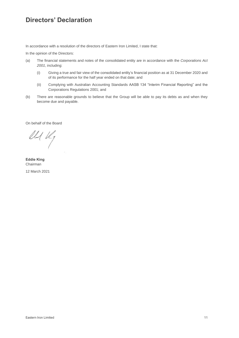### **Directors' Declaration**

In accordance with a resolution of the directors of Eastern Iron Limited, I state that:

In the opinion of the Directors:

- (a) The financial statements and notes of the consolidated entity are in accordance with the *Corporations Act 2001*, including:
	- (i) Giving a true and fair view of the consolidated entity's financial position as at 31 December 2020 and of its performance for the half year ended on that date; and
	- (ii) Complying with Australian Accounting Standards AASB 134 "Interim Financial Reporting" and the Corporations Regulations 2001; and
- (b) There are reasonable grounds to believe that the Group will be able to pay its debts as and when they become due and payable.

On behalf of the Board

 $ell$ 

**Eddie King** Chairman 12 March 2021

Eastern Iron Limited 11 November 2012 12:30 November 2013 12:30 November 2013 12:30 November 2014 12:30 November 2014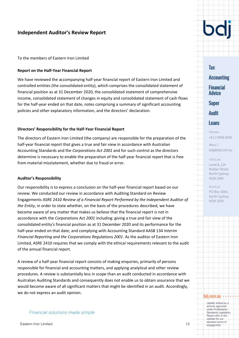### **Independent Auditor's Review Report**

#### To the members of Eastern Iron Limited

#### **Report on the Half-Year Financial Report**

We have reviewed the accompanying half-year financial report of Eastern Iron Limited and controlled entities (the consolidated entity), which comprises the consolidated statement of financial position as at 31 December 2020, the consolidated statement of comprehensive income, consolidated statement of changes in equity and consolidated statement of cash flows for the half-year ended on that date, notes comprising a summary of significant accounting policies and other explanatory information, and the directors' declaration.

#### **Directors' Responsibility for the Half-Year Financial Report**

The directors of Eastern Iron Limited (the company) are responsible for the preparation of the half-year financial report that gives a true and fair view in accordance with Australian Accounting Standards and the *Corporations Act 2001* and for such control as the directors determine is necessary to enable the preparation of the half-year financial report that is free from material misstatement, whether due to fraud or error.

#### **Auditor's Responsibility**

Our responsibility is to express a conclusion on the half-year financial report based on our review. We conducted our review in accordance with Auditing Standard on Review Engagements ASRE 2410 *Review of a Financial Report Performed by the Independent Auditor of the Entity*, in order to state whether, on the basis of the procedures described, we have become aware of any matter that makes us believe that the financial report is not in accordance with the *Corporations Act 2001* including: giving a true and fair view of the consolidated entity's financial position as at 31 December 2020 and its performance for the half-year ended on that date; and complying with Accounting Standard AASB 134 *Interim Financial Reporting and the Corporations Regulations 2001*. As the auditor of Eastern Iron Limited, ASRE 2410 requires that we comply with the ethical requirements relevant to the audit of the annual financial report.

A review of a half-year financial report consists of making enquiries, primarily of persons responsible for financial and accounting matters, and applying analytical and other review procedures. A review is substantially less in scope than an audit conducted in accordance with Australian Auditing Standards and consequently does not enable us to obtain assurance that we would become aware of all significant matters that might be identified in an audit. Accordingly, we do not express an audit opinion.

#### Financial solutions made simple



Tax **Accounting Financial Advice Super** Audit Loans

+61 2 9956 8500

Phone

Email bdj@bdj.com.au

Office Level 8, 124 Walker Street North Sydney

NSW 2060

Postal PO Box 1664, North Sydney NSW 2059

#### bdj.com.au

Liability limited by a scheme approved under Professional Standards Legislation. Please refer to the website for our<br>standard terms of Standard terms of Eastern Iron Limited **Eastern Iron Limited** Standard terms of Eastern Iron Limited **12** engagement.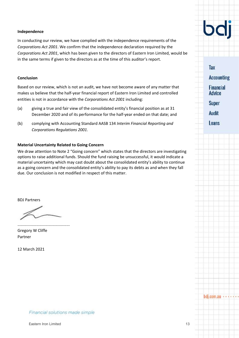#### **Independence**

In conducting our review, we have complied with the independence requirements of the *Corporations Act 2001*. We confirm that the independence declaration required by the *Corporations Act 2001*, which has been given to the directors of Eastern Iron Limited, would be in the same terms if given to the directors as at the time of this auditor's report.

#### **Conclusion**

Based on our review, which is not an audit, we have not become aware of any matter that makes us believe that the half-year financial report of Eastern Iron Limited and controlled entities is not in accordance with the *Corporations Act 2001* including:

- (a) giving a true and fair view of the consolidated entity's financial position as at 31 December 2020 and of its performance for the half-year ended on that date; and
- (b) complying with Accounting Standard AASB 134 *Interim Financial Reporting and Corporations Regulations 2001*.

#### **Material Uncertainty Related to Going Concern**

We draw attention to Note 2 "Going concern" which states that the directors are investigating options to raise additional funds. Should the fund raising be unsuccessful, it would indicate a material uncertainty which may cast doubt about the consolidated entity's ability to continue as a going concern and the consolidated entity's ability to pay its debts as and when they fall due. Our conclusion is not modified in respect of this matter.

BDJ Partners

............................................... Gregory W Cliffe Partner

12 March 2021



Audit

**Super** 

Tax

**Accounting** 

**Financial Advice** 

Loans

Financial solutions made simple

 $b$ dj.com.au  $\cdots$